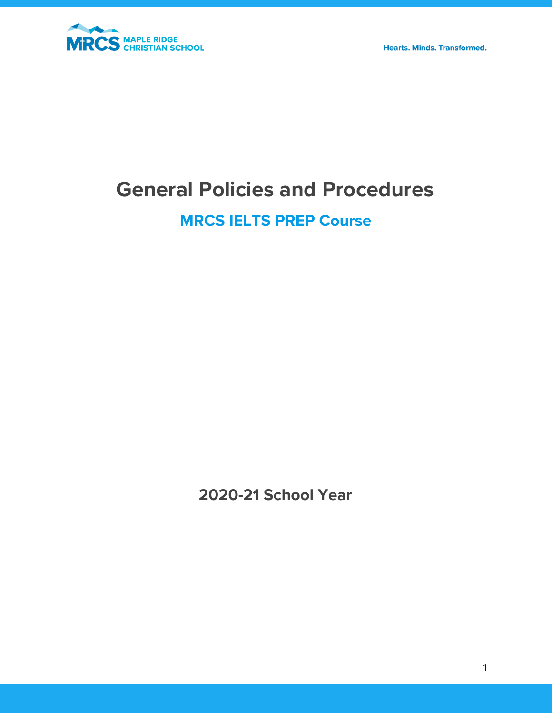

**Hearts. Minds. Transformed.** 

# **General Policies and Procedures**

# **MRCS IELTS PREP Course**

**2020-21 School Year**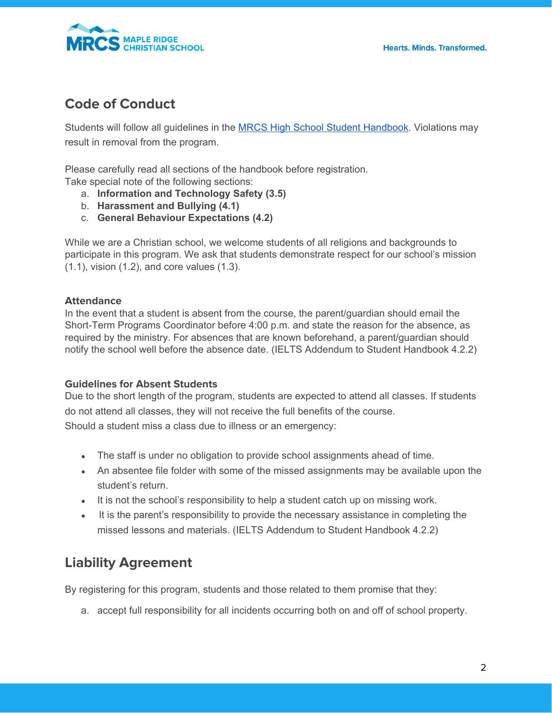

### **Code of Conduct**

Students will follow all guidelines in the **MRCS High School Student [Handbook](https://mrcs.ca/wp-content/uploads/2020/10/High-School-Student-Handbook.pdf)**. Violations may result in removal from the program.

Please carefully read all sections of the handbook before registration. Take special note of the following sections:

- a. **Information and Technology Safety (3.5)**
- b. **Harassment and Bullying (4.1)**
- c. **General Behaviour Expectations (4.2)**

While we are a Christian school, we welcome students of all religions and backgrounds to participate in this program. We ask that students demonstrate respect for our school's mission (1.1), vision (1.2), and core values (1.3).

#### **Attendance**

In the event that a student is absent from the course, the parent/guardian should email the Short-Term Programs Coordinator before 4:00 p.m. and state the reason for the absence, as required by the ministry. For absences that are known beforehand, a parent/guardian should notify the school well before the absence date. (IELTS Addendum to Student Handbook 4.2.2)

#### **Guidelines for Absent Students**

Due to the short length of the program, students are expected to attend all classes. If students do not attend all classes, they will not receive the full benefits of the course. Should a student miss a class due to illness or an emergency:

- The staff is under no obligation to provide school assignments ahead of time.
- An absentee file folder with some of the missed assignments may be available upon the student's return.
- It is not the school's responsibility to help a student catch up on missing work.
- It is the parent's responsibility to provide the necessary assistance in completing the missed lessons and materials. (IELTS Addendum to Student Handbook 4.2.2)

### **Liability Agreement**

By registering for this program, students and those related to them promise that they:

a. accept full responsibility for all incidents occurring both on and off of school property.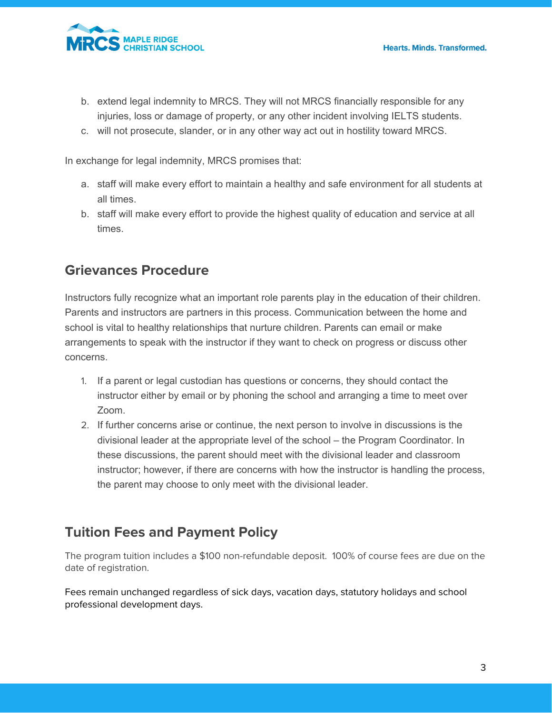

- b. extend legal indemnity to MRCS. They will not MRCS financially responsible for any injuries, loss or damage of property, or any other incident involving IELTS students.
- c. will not prosecute, slander, or in any other way act out in hostility toward MRCS.

In exchange for legal indemnity, MRCS promises that:

- a. staff will make every effort to maintain a healthy and safe environment for all students at all times.
- b. staff will make every effort to provide the highest quality of education and service at all times.

### **Grievances Procedure**

Instructors fully recognize what an important role parents play in the education of their children. Parents and instructors are partners in this process. Communication between the home and school is vital to healthy relationships that nurture children. Parents can email or make arrangements to speak with the instructor if they want to check on progress or discuss other concerns.

- 1. If a parent or legal custodian has questions or concerns, they should contact the instructor either by email or by phoning the school and arranging a time to meet over Zoom.
- 2. If further concerns arise or continue, the next person to involve in discussions is the divisional leader at the appropriate level of the school – the Program Coordinator. In these discussions, the parent should meet with the divisional leader and classroom instructor; however, if there are concerns with how the instructor is handling the process, the parent may choose to only meet with the divisional leader.

## **Tuition Fees and Payment Policy**

The program tuition includes a \$100 non-refundable deposit. 100% of course fees are due on the date of registration.

Fees remain unchanged regardless of sick days, vacation days, statutory holidays and school professional development days.